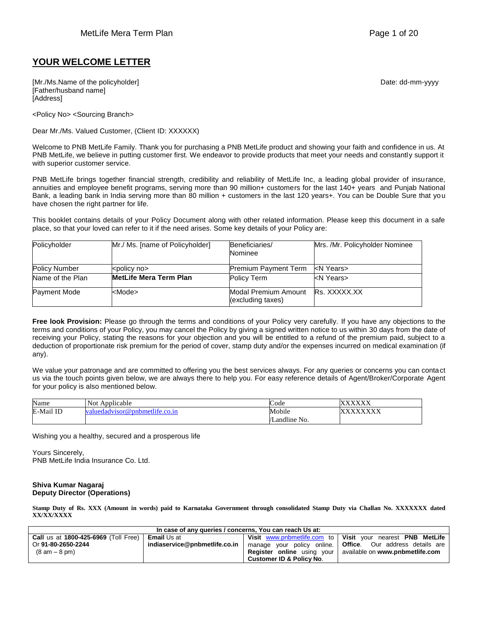## **YOUR WELCOME LETTER**

[Mr./Ms.Name of the policyholder] example and the policyholder of the policyholder] and the policyholder control of the policyholder and the policyholder of the policyholder and the policyholder and the policyholder and th [Father/husband name] [Address]

<Policy No> <Sourcing Branch>

Dear Mr./Ms. Valued Customer, (Client ID: XXXXXX)

Welcome to PNB MetLife Family. Thank you for purchasing a PNB MetLife product and showing your faith and confidence in us. At PNB MetLife, we believe in putting customer first. We endeavor to provide products that meet your needs and constantly support it with superior customer service.

PNB MetLife brings together financial strength, credibility and reliability of MetLife Inc, a leading global provider of insurance, annuities and employee benefit programs, serving more than 90 million+ customers for the last 140+ years and Punjab National Bank, a leading bank in India serving more than 80 million + customers in the last 120 years+. You can be Double Sure that you have chosen the right partner for life.

This booklet contains details of your Policy Document along with other related information. Please keep this document in a safe place, so that your loved can refer to it if the need arises. Some key details of your Policy are:

| Policyholder         | Mr./ Ms. [name of Policyholder] | Beneficiaries/                            | Mrs. /Mr. Policyholder Nominee |
|----------------------|---------------------------------|-------------------------------------------|--------------------------------|
|                      |                                 | Nominee                                   |                                |
| <b>Policy Number</b> | kpolicy no                      | Premium Payment Term                      | kN Years>                      |
| Name of the Plan     | <b>MetLife Mera Term Plan</b>   | Policy Term                               | <n years=""></n>               |
| Payment Mode         | <mode></mode>                   | Modal Premium Amount<br>(excluding taxes) | Rs. XXXXX.XX                   |

**Free look Provision:** Please go through the terms and conditions of your Policy very carefully. If you have any objections to the terms and conditions of your Policy, you may cancel the Policy by giving a signed written notice to us within 30 days from the date of receiving your Policy, stating the reasons for your objection and you will be entitled to a refund of the premium paid, subject to a deduction of proportionate risk premium for the period of cover, stamp duty and/or the expenses incurred on medical examination (if any).

We value your patronage and are committed to offering you the best services always. For any queries or concerns you can contact us via the touch points given below, we are always there to help you. For easy reference details of Agent/Broker/Corporate Agent for your policy is also mentioned below.

| Name      | Applicable<br>Not             | $\overline{\phantom{0}}$<br>Code | vvvv<br>↗<br>$\Lambda$ $\Lambda$ $\Lambda$ |
|-----------|-------------------------------|----------------------------------|--------------------------------------------|
| E-Mail ID | aluedadvisor@pnbmetlife.co.in | Mobile                           | www<br>$\cdot$<br>$\Delta \Delta \Delta$   |
|           |                               | Landline No.                     |                                            |

Wishing you a healthy, secured and a prosperous life

Yours Sincerely, PNB MetLife India Insurance Co. Ltd.

#### **Shiva Kumar Nagaraj Deputy Director (Operations)**

**Stamp Duty of Rs. XXX (Amount in words) paid to Karnataka Government through consolidated Stamp Duty via Challan No. XXXXXXX dated XX/XX/XXXX**

| In case of any queries / concerns. You can reach Us at: |                               |                                     |                                                                      |  |
|---------------------------------------------------------|-------------------------------|-------------------------------------|----------------------------------------------------------------------|--|
| <b>Call</b> us at 1800-425-6969 (Toll Free)             | <b>Email</b> Us at            |                                     | Visit www.pnbmetlife.com to   Visit your nearest PNB MetLife         |  |
| Or 91-80-2650-2244                                      | indiaservice@pnbmetlife.co.in |                                     | manage your policy online. <b>  Office</b> . Our address details are |  |
| $(8 \text{ am} - 8 \text{ pm})$                         |                               |                                     | <b>Register online</b> using your available on www.pnbmetlife.com    |  |
|                                                         |                               | <b>Customer ID &amp; Policy No.</b> |                                                                      |  |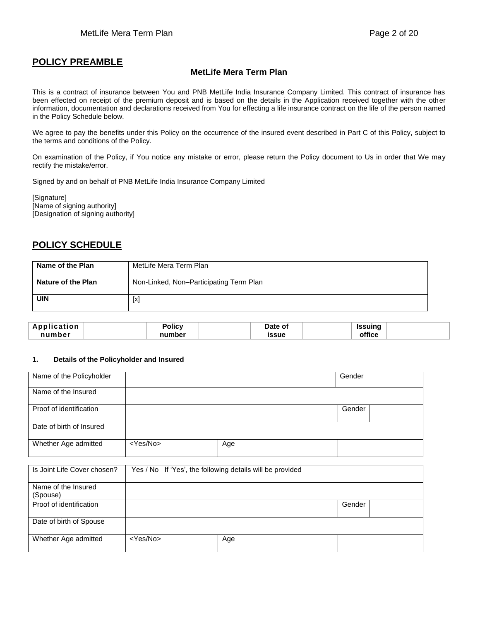# **POLICY PREAMBLE**

## **MetLife Mera Term Plan**

This is a contract of insurance between You and PNB MetLife India Insurance Company Limited. This contract of insurance has been effected on receipt of the premium deposit and is based on the details in the Application received together with the other information, documentation and declarations received from You for effecting a life insurance contract on the life of the person named in the Policy Schedule below.

We agree to pay the benefits under this Policy on the occurrence of the insured event described in Part C of this Policy, subject to the terms and conditions of the Policy.

On examination of the Policy, if You notice any mistake or error, please return the Policy document to Us in order that We may rectify the mistake/error.

Signed by and on behalf of PNB MetLife India Insurance Company Limited

[Signature] [Name of signing authority] [Designation of signing authority]

# **POLICY SCHEDULE**

| Name of the Plan          | MetLife Mera Term Plan                  |
|---------------------------|-----------------------------------------|
| <b>Nature of the Plan</b> | Non-Linked, Non-Participating Term Plan |
| <b>UIN</b>                | $[ \times ]$                            |

| Application | Polic\   | Date of | Issuing |  |
|-------------|----------|---------|---------|--|
| numher      | number - | issue   | office  |  |

#### **1. Details of the Policyholder and Insured**

| Name of the Policyholder |                   |     | Gender |  |
|--------------------------|-------------------|-----|--------|--|
| Name of the Insured      |                   |     |        |  |
| Proof of identification  |                   |     | Gender |  |
| Date of birth of Insured |                   |     |        |  |
| Whether Age admitted     | <yes no=""></yes> | Age |        |  |

| Is Joint Life Cover chosen?     | Yes / No If 'Yes', the following details will be provided |     |        |  |
|---------------------------------|-----------------------------------------------------------|-----|--------|--|
| Name of the Insured<br>(Spouse) |                                                           |     |        |  |
| Proof of identification         |                                                           |     | Gender |  |
| Date of birth of Spouse         |                                                           |     |        |  |
| Whether Age admitted            | <yes no=""></yes>                                         | Age |        |  |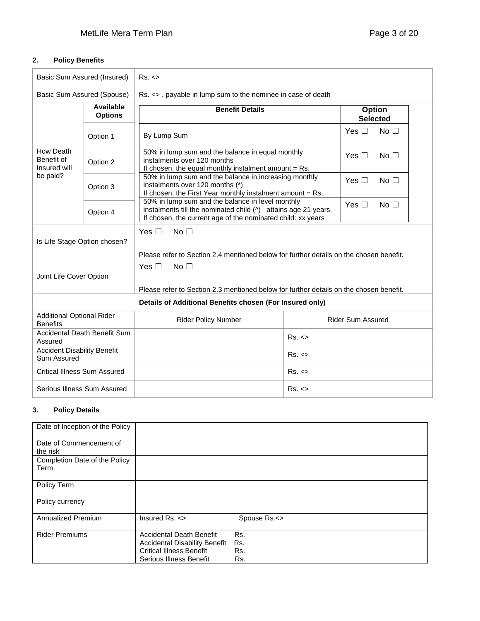# **2. Policy Benefits**

| Basic Sum Assured (Insured)<br>Rs. <                |                                              |                                                                                                                                                                                                                 |       |                                  |  |
|-----------------------------------------------------|----------------------------------------------|-----------------------------------------------------------------------------------------------------------------------------------------------------------------------------------------------------------------|-------|----------------------------------|--|
| Basic Sum Assured (Spouse)                          |                                              | Rs. <>, payable in lump sum to the nominee in case of death                                                                                                                                                     |       |                                  |  |
|                                                     | Available<br><b>Options</b>                  | <b>Benefit Details</b><br>By Lump Sum                                                                                                                                                                           |       | Option<br><b>Selected</b>        |  |
|                                                     | Option 1                                     |                                                                                                                                                                                                                 |       | Yes $\square$<br>No <sub>1</sub> |  |
| How Death<br>Benefit of<br>Insured will             | Option 2                                     | 50% in lump sum and the balance in equal monthly<br>instalments over 120 months<br>If chosen, the equal monthly instalment amount = Rs.                                                                         |       | Yes $\Box$<br>No $\Box$          |  |
| be paid?                                            | Option 3                                     | 50% in lump sum and the balance in increasing monthly<br>instalments over 120 months (*)<br>If chosen, the First Year monthly instalment amount = Rs.                                                           |       | Yes $\Box$<br>No <sub>1</sub>    |  |
|                                                     | Option 4                                     | 50% in lump sum and the balance in level monthly<br>Yes $\square$<br>No $\Box$<br>instalments till the nominated child (^) attains age 21 years.<br>If chosen, the current age of the nominated child: xx years |       |                                  |  |
| Is Life Stage Option chosen?                        |                                              | Yes $\Box$<br>No <sub>1</sub><br>Please refer to Section 2.4 mentioned below for further details on the chosen benefit.                                                                                         |       |                                  |  |
| Joint Life Cover Option                             |                                              | Yes $\Box$<br>No <sub>1</sub><br>Please refer to Section 2.3 mentioned below for further details on the chosen benefit.                                                                                         |       |                                  |  |
|                                                     |                                              | Details of Additional Benefits chosen (For Insured only)                                                                                                                                                        |       |                                  |  |
| <b>Additional Optional Rider</b><br><b>Benefits</b> |                                              | <b>Rider Sum Assured</b><br><b>Rider Policy Number</b>                                                                                                                                                          |       |                                  |  |
| Assured                                             | <b>Accidental Death Benefit Sum</b><br>Rs. < |                                                                                                                                                                                                                 |       |                                  |  |
| <b>Accident Disability Benefit</b><br>Sum Assured   |                                              |                                                                                                                                                                                                                 | Rs. < |                                  |  |
| Critical Illness Sum Assured                        |                                              |                                                                                                                                                                                                                 | Rs. < |                                  |  |
| Serious Illness Sum Assured                         |                                              |                                                                                                                                                                                                                 | Rs. < |                                  |  |

## **3. Policy Details**

| Date of Inception of the Policy |                                      |              |
|---------------------------------|--------------------------------------|--------------|
| Date of Commencement of         |                                      |              |
| the risk                        |                                      |              |
| Completion Date of the Policy   |                                      |              |
| Term                            |                                      |              |
|                                 |                                      |              |
| Policy Term                     |                                      |              |
|                                 |                                      |              |
| Policy currency                 |                                      |              |
|                                 |                                      |              |
| Annualized Premium              | Insured $Rs. <$                      | Spouse Rs.<> |
|                                 |                                      |              |
| <b>Rider Premiums</b>           | <b>Accidental Death Benefit</b>      | Rs.          |
|                                 | <b>Accidental Disability Benefit</b> | Rs.          |
|                                 | <b>Critical Illness Benefit</b>      | Rs.          |
|                                 | Serious Illness Benefit              | Rs.          |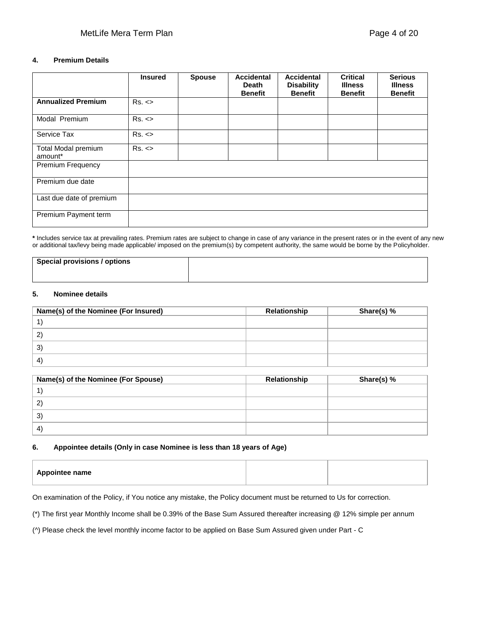#### **4. Premium Details**

|                                | <b>Insured</b> | <b>Spouse</b> | <b>Accidental</b><br>Death<br><b>Benefit</b> | <b>Accidental</b><br><b>Disability</b><br><b>Benefit</b> | <b>Critical</b><br><b>Illness</b><br><b>Benefit</b> | <b>Serious</b><br><b>Illness</b><br><b>Benefit</b> |
|--------------------------------|----------------|---------------|----------------------------------------------|----------------------------------------------------------|-----------------------------------------------------|----------------------------------------------------|
| <b>Annualized Premium</b>      | Rs. <          |               |                                              |                                                          |                                                     |                                                    |
| Modal Premium                  | Rs. <          |               |                                              |                                                          |                                                     |                                                    |
| Service Tax                    | Rs. <          |               |                                              |                                                          |                                                     |                                                    |
| Total Modal premium<br>amount* | Rs. <          |               |                                              |                                                          |                                                     |                                                    |
| <b>Premium Frequency</b>       |                |               |                                              |                                                          |                                                     |                                                    |
| Premium due date               |                |               |                                              |                                                          |                                                     |                                                    |
| Last due date of premium       |                |               |                                              |                                                          |                                                     |                                                    |
| Premium Payment term           |                |               |                                              |                                                          |                                                     |                                                    |

**\*** Includes service tax at prevailing rates. Premium rates are subject to change in case of any variance in the present rates or in the event of any new or additional tax/levy being made applicable/ imposed on the premium(s) by competent authority, the same would be borne by the Policyholder.

| Special provisions / options |  |
|------------------------------|--|
|                              |  |

#### **5. Nominee details**

| Name(s) of the Nominee (For Insured) | Relationship | Share(s) % |
|--------------------------------------|--------------|------------|
|                                      |              |            |
| $\mathbf{2}$                         |              |            |
| 3)                                   |              |            |
| $\left 4\right $                     |              |            |

| Name(s) of the Nominee (For Spouse) | Relationship | Share(s) % |
|-------------------------------------|--------------|------------|
|                                     |              |            |
| 2                                   |              |            |
| 3                                   |              |            |
| $\left(4\right)$                    |              |            |

#### **6. Appointee details (Only in case Nominee is less than 18 years of Age)**

On examination of the Policy, if You notice any mistake, the Policy document must be returned to Us for correction.

(\*) The first year Monthly Income shall be 0.39% of the Base Sum Assured thereafter increasing @ 12% simple per annum

(^) Please check the level monthly income factor to be applied on Base Sum Assured given under Part - C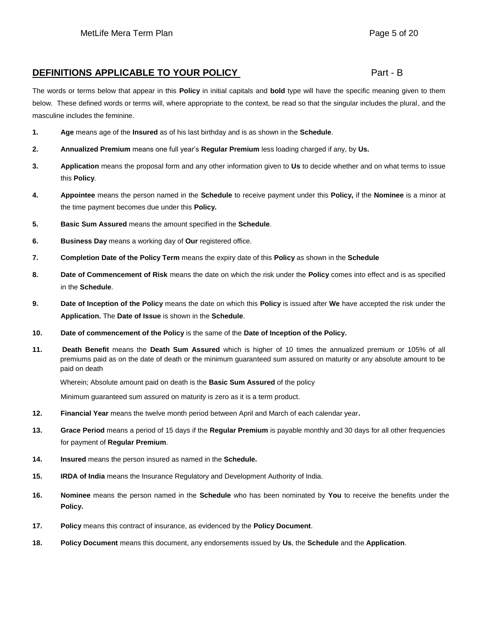# **DEFINITIONS APPLICABLE TO YOUR POLICY PART 4 PART - B** Part - B

The words or terms below that appear in this **Policy** in initial capitals and **bold** type will have the specific meaning given to them below. These defined words or terms will, where appropriate to the context, be read so that the singular includes the plural, and the masculine includes the feminine.

- **1. Age** means age of the **Insured** as of his last birthday and is as shown in the **Schedule**.
- **2. Annualized Premium** means one full year's **Regular Premium** less loading charged if any, by **Us.**
- **3. Application** means the proposal form and any other information given to **Us** to decide whether and on what terms to issue this **Policy**.
- **4. Appointee** means the person named in the **Schedule** to receive payment under this **Policy,** if the **Nominee** is a minor at the time payment becomes due under this **Policy.**
- **5. Basic Sum Assured** means the amount specified in the **Schedule**.
- **6. Business Day** means a working day of **Our** registered office.
- **7. Completion Date of the Policy Term** means the expiry date of this **Policy** as shown in the **Schedule**
- **8. Date of Commencement of Risk** means the date on which the risk under the **Policy** comes into effect and is as specified in the **Schedule**.
- **9. Date of Inception of the Policy** means the date on which this **Policy** is issued after **We** have accepted the risk under the **Application.** The **Date of Issue** is shown in the **Schedule**.
- **10. Date of commencement of the Policy** is the same of the **Date of Inception of the Policy.**
- **11. Death Benefit** means the **Death Sum Assured** which is higher of 10 times the annualized premium or 105% of all premiums paid as on the date of death or the minimum guaranteed sum assured on maturity or any absolute amount to be paid on death

Wherein; Absolute amount paid on death is the **Basic Sum Assured** of the policy

Minimum guaranteed sum assured on maturity is zero as it is a term product.

- **12. Financial Year** means the twelve month period between April and March of each calendar year**.**
- **13. Grace Period** means a period of 15 days if the **Regular Premium** is payable monthly and 30 days for all other frequencies for payment of **Regular Premium**.
- **14. Insured** means the person insured as named in the **Schedule.**
- **15. IRDA of India** means the Insurance Regulatory and Development Authority of India.
- **16. Nominee** means the person named in the **Schedule** who has been nominated by **You** to receive the benefits under the **Policy.**
- **17. Policy** means this contract of insurance, as evidenced by the **Policy Document**.
- **18. Policy Document** means this document, any endorsements issued by **Us**, the **Schedule** and the **Application**.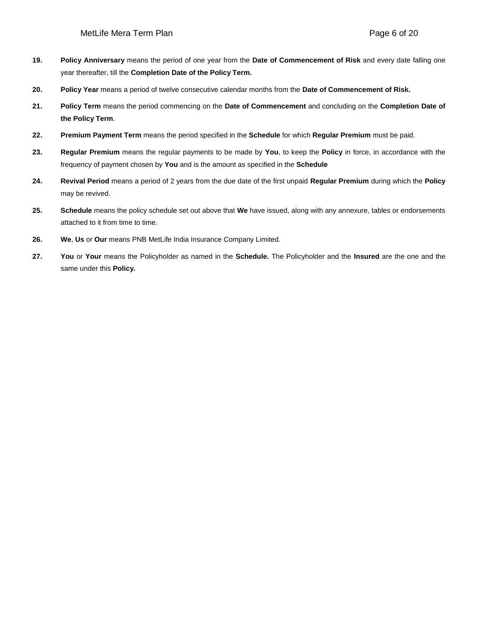- **19. Policy Anniversary** means the period of one year from the **Date of Commencement of Risk** and every date falling one year thereafter, till the **Completion Date of the Policy Term.**
- **20. Policy Year** means a period of twelve consecutive calendar months from the **Date of Commencement of Risk.**
- **21. Policy Term** means the period commencing on the **Date of Commencement** and concluding on the **Completion Date of the Policy Term**.
- **22. Premium Payment Term** means the period specified in the **Schedule** for which **Regular Premium** must be paid.
- **23. Regular Premium** means the regular payments to be made by **You**, to keep the **Policy** in force, in accordance with the frequency of payment chosen by **You** and is the amount as specified in the **Schedule**
- **24. Revival Period** means a period of 2 years from the due date of the first unpaid **Regular Premium** during which the **Policy** may be revived.
- **25. Schedule** means the policy schedule set out above that **We** have issued, along with any annexure, tables or endorsements attached to it from time to time.
- **26. We**, **Us** or **Our** means PNB MetLife India Insurance Company Limited.
- **27. You** or **Your** means the Policyholder as named in the **Schedule.** The Policyholder and the **Insured** are the one and the same under this **Policy.**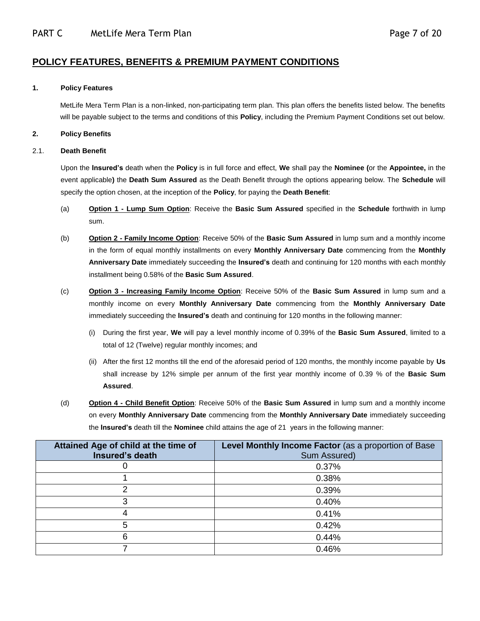# **POLICY FEATURES, BENEFITS & PREMIUM PAYMENT CONDITIONS**

#### **1. Policy Features**

MetLife Mera Term Plan is a non-linked, non-participating term plan. This plan offers the benefits listed below. The benefits will be payable subject to the terms and conditions of this **Policy**, including the Premium Payment Conditions set out below.

#### **2. Policy Benefits**

#### 2.1. **Death Benefit**

Upon the **Insured's** death when the **Policy** is in full force and effect, **We** shall pay the **Nominee (**or the **Appointee,** in the event applicable**)** the **Death Sum Assured** as the Death Benefit through the options appearing below. The **Schedule** will specify the option chosen, at the inception of the **Policy**, for paying the **Death Benefit**:

- (a) **Option 1 - Lump Sum Option**: Receive the **Basic Sum Assured** specified in the **Schedule** forthwith in lump sum.
- (b) **Option 2 - Family Income Option**: Receive 50% of the **Basic Sum Assured** in lump sum and a monthly income in the form of equal monthly installments on every **Monthly Anniversary Date** commencing from the **Monthly Anniversary Date** immediately succeeding the **Insured's** death and continuing for 120 months with each monthly installment being 0.58% of the **Basic Sum Assured**.
- (c) **Option 3 - Increasing Family Income Option**: Receive 50% of the **Basic Sum Assured** in lump sum and a monthly income on every **Monthly Anniversary Date** commencing from the **Monthly Anniversary Date** immediately succeeding the **Insured's** death and continuing for 120 months in the following manner:
	- (i) During the first year, **We** will pay a level monthly income of 0.39% of the **Basic Sum Assured**, limited to a total of 12 (Twelve) regular monthly incomes; and
	- (ii) After the first 12 months till the end of the aforesaid period of 120 months, the monthly income payable by **Us** shall increase by 12% simple per annum of the first year monthly income of 0.39 % of the **Basic Sum Assured**.
- (d) **Option 4 - Child Benefit Option**: Receive 50% of the **Basic Sum Assured** in lump sum and a monthly income on every **Monthly Anniversary Date** commencing from the **Monthly Anniversary Date** immediately succeeding the **Insured's** death till the **Nominee** child attains the age of 21 years in the following manner:

| Attained Age of child at the time of | Level Monthly Income Factor (as a proportion of Base |
|--------------------------------------|------------------------------------------------------|
| Insured's death                      | Sum Assured)                                         |
|                                      | 0.37%                                                |
|                                      | 0.38%                                                |
|                                      | 0.39%                                                |
| 3                                    | 0.40%                                                |
| 4                                    | 0.41%                                                |
| 5                                    | 0.42%                                                |
| 6                                    | 0.44%                                                |
|                                      | 0.46%                                                |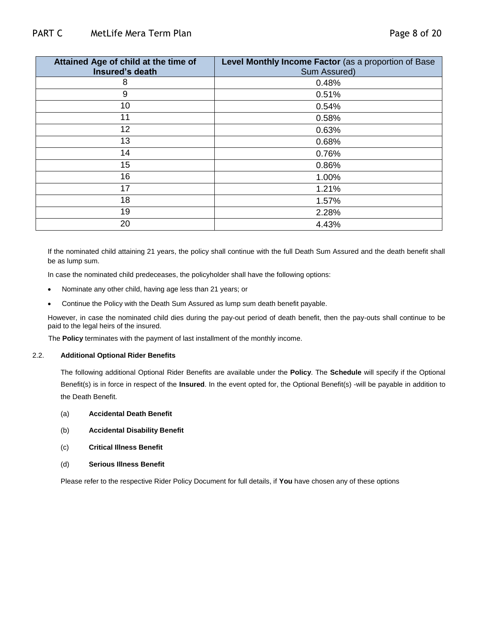| Attained Age of child at the time of<br>Insured's death | Level Monthly Income Factor (as a proportion of Base<br>Sum Assured) |
|---------------------------------------------------------|----------------------------------------------------------------------|
| 8                                                       | 0.48%                                                                |
| 9                                                       | 0.51%                                                                |
| 10                                                      | 0.54%                                                                |
| 11                                                      | 0.58%                                                                |
| 12                                                      | 0.63%                                                                |
| 13                                                      | 0.68%                                                                |
| 14                                                      | 0.76%                                                                |
| 15                                                      | 0.86%                                                                |
| 16                                                      | 1.00%                                                                |
| 17                                                      | 1.21%                                                                |
| 18                                                      | 1.57%                                                                |
| 19                                                      | 2.28%                                                                |
| 20                                                      | 4.43%                                                                |

If the nominated child attaining 21 years, the policy shall continue with the full Death Sum Assured and the death benefit shall be as lump sum.

In case the nominated child predeceases, the policyholder shall have the following options:

- Nominate any other child, having age less than 21 years; or
- Continue the Policy with the Death Sum Assured as lump sum death benefit payable.

However, in case the nominated child dies during the pay-out period of death benefit, then the pay-outs shall continue to be paid to the legal heirs of the insured.

The **Policy** terminates with the payment of last installment of the monthly income.

#### 2.2. **Additional Optional Rider Benefits**

The following additional Optional Rider Benefits are available under the **Policy**. The **Schedule** will specify if the Optional Benefit(s) is in force in respect of the **Insured**. In the event opted for, the Optional Benefit(s) -will be payable in addition to the Death Benefit.

- (a) **Accidental Death Benefit**
- (b) **Accidental Disability Benefit**
- (c) **Critical Illness Benefit**
- (d) **Serious Illness Benefit**

Please refer to the respective Rider Policy Document for full details, if **You** have chosen any of these options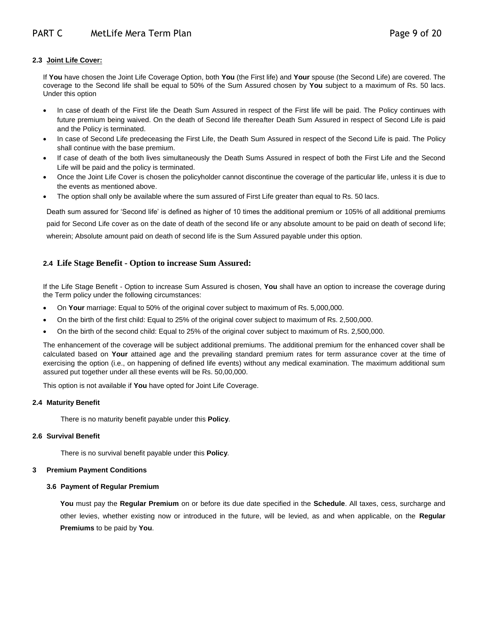### **2.3 Joint Life Cover:**

If **You** have chosen the Joint Life Coverage Option, both **You** (the First life) and **Your** spouse (the Second Life) are covered. The coverage to the Second life shall be equal to 50% of the Sum Assured chosen by **You** subject to a maximum of Rs. 50 lacs. Under this option

- In case of death of the First life the Death Sum Assured in respect of the First life will be paid. The Policy continues with future premium being waived. On the death of Second life thereafter Death Sum Assured in respect of Second Life is paid and the Policy is terminated.
- In case of Second Life predeceasing the First Life, the Death Sum Assured in respect of the Second Life is paid. The Policy shall continue with the base premium.
- If case of death of the both lives simultaneously the Death Sums Assured in respect of both the First Life and the Second Life will be paid and the policy is terminated.
- Once the Joint Life Cover is chosen the policyholder cannot discontinue the coverage of the particular life, unless it is due to the events as mentioned above.
- The option shall only be available where the sum assured of First Life greater than equal to Rs. 50 lacs.

Death sum assured for 'Second life' is defined as higher of 10 times the additional premium or 105% of all additional premiums paid for Second Life cover as on the date of death of the second life or any absolute amount to be paid on death of second life; wherein; Absolute amount paid on death of second life is the Sum Assured payable under this option.

## **2.4 Life Stage Benefit - Option to increase Sum Assured:**

If the Life Stage Benefit - Option to increase Sum Assured is chosen, **You** shall have an option to increase the coverage during the Term policy under the following circumstances:

- On **Your** marriage: Equal to 50% of the original cover subject to maximum of Rs. 5,000,000.
- On the birth of the first child: Equal to 25% of the original cover subject to maximum of Rs. 2,500,000.
- On the birth of the second child: Equal to 25% of the original cover subject to maximum of Rs. 2,500,000.

The enhancement of the coverage will be subject additional premiums. The additional premium for the enhanced cover shall be calculated based on **Your** attained age and the prevailing standard premium rates for term assurance cover at the time of exercising the option (i.e., on happening of defined life events) without any medical examination. The maximum additional sum assured put together under all these events will be Rs. 50,00,000.

This option is not available if **You** have opted for Joint Life Coverage.

#### **2.4 Maturity Benefit**

There is no maturity benefit payable under this **Policy**.

#### **2.6 Survival Benefit**

There is no survival benefit payable under this **Policy**.

#### **3 Premium Payment Conditions**

#### **3.6 Payment of Regular Premium**

**You** must pay the **Regular Premium** on or before its due date specified in the **Schedule**. All taxes, cess, surcharge and other levies, whether existing now or introduced in the future, will be levied, as and when applicable, on the **Regular Premiums** to be paid by **You**.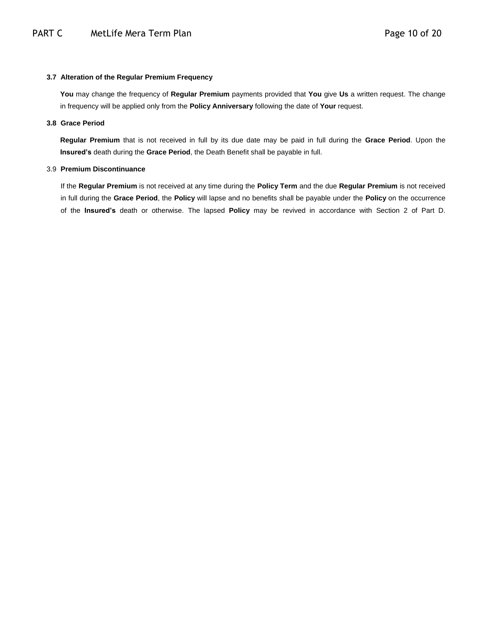#### **3.7 Alteration of the Regular Premium Frequency**

**You** may change the frequency of **Regular Premium** payments provided that **You** give **Us** a written request. The change in frequency will be applied only from the **Policy Anniversary** following the date of **Your** request.

#### **3.8 Grace Period**

**Regular Premium** that is not received in full by its due date may be paid in full during the **Grace Period**. Upon the **Insured's** death during the **Grace Period**, the Death Benefit shall be payable in full.

#### 3.9 **Premium Discontinuance**

If the **Regular Premium** is not received at any time during the **Policy Term** and the due **Regular Premium** is not received in full during the **Grace Period**, the **Policy** will lapse and no benefits shall be payable under the **Policy** on the occurrence of the **Insured's** death or otherwise. The lapsed **Policy** may be revived in accordance with Section 2 of Part D.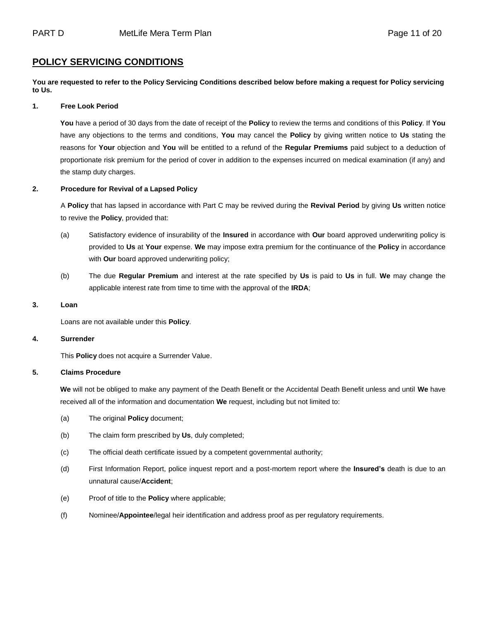## **POLICY SERVICING CONDITIONS**

**You are requested to refer to the Policy Servicing Conditions described below before making a request for Policy servicing to Us.**

#### **1. Free Look Period**

**You** have a period of 30 days from the date of receipt of the **Policy** to review the terms and conditions of this **Policy**. If **You**  have any objections to the terms and conditions, **You** may cancel the **Policy** by giving written notice to **Us** stating the reasons for **Your** objection and **You** will be entitled to a refund of the **Regular Premiums** paid subject to a deduction of proportionate risk premium for the period of cover in addition to the expenses incurred on medical examination (if any) and the stamp duty charges.

#### **2. Procedure for Revival of a Lapsed Policy**

A **Policy** that has lapsed in accordance with Part C may be revived during the **Revival Period** by giving **Us** written notice to revive the **Policy**, provided that:

- (a) Satisfactory evidence of insurability of the **Insured** in accordance with **Our** board approved underwriting policy is provided to **Us** at **Your** expense. **We** may impose extra premium for the continuance of the **Policy** in accordance with **Our** board approved underwriting policy;
- (b) The due **Regular Premium** and interest at the rate specified by **Us** is paid to **Us** in full. **We** may change the applicable interest rate from time to time with the approval of the **IRDA**;

#### **3. Loan**

Loans are not available under this **Policy**.

#### **4. Surrender**

This **Policy** does not acquire a Surrender Value.

#### **5. Claims Procedure**

**We** will not be obliged to make any payment of the Death Benefit or the Accidental Death Benefit unless and until **We** have received all of the information and documentation **We** request, including but not limited to:

- (a) The original **Policy** document;
- (b) The claim form prescribed by **Us**, duly completed;
- (c) The official death certificate issued by a competent governmental authority;
- (d) First Information Report, police inquest report and a post-mortem report where the **Insured's** death is due to an unnatural cause/**Accident**;
- (e) Proof of title to the **Policy** where applicable;
- (f) Nominee/**Appointee**/legal heir identification and address proof as per regulatory requirements.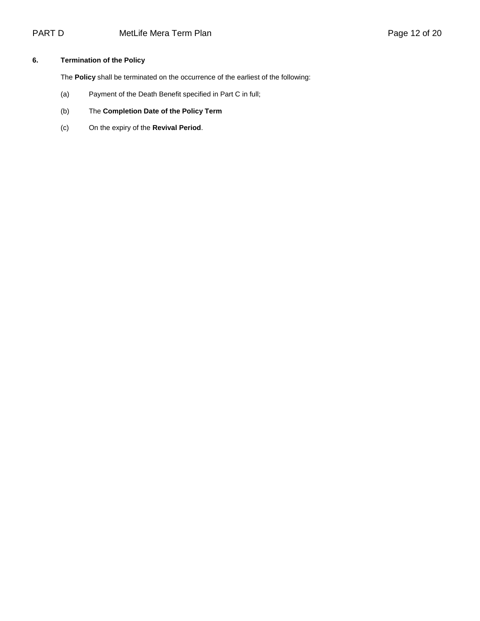## **6. Termination of the Policy**

The **Policy** shall be terminated on the occurrence of the earliest of the following:

- (a) Payment of the Death Benefit specified in Part C in full;
- (b) The **Completion Date of the Policy Term**
- (c) On the expiry of the **Revival Period**.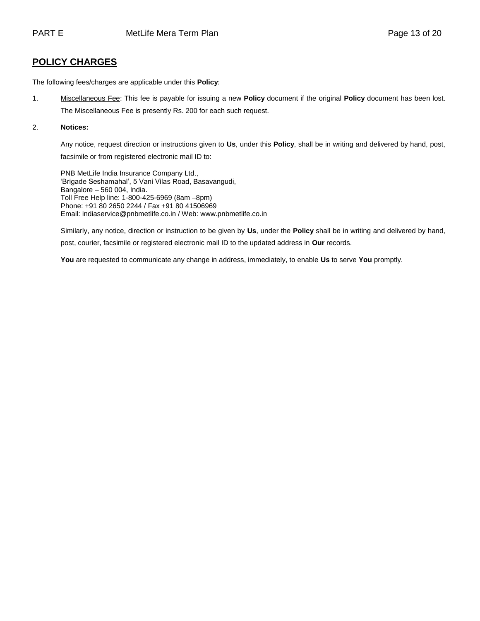# **POLICY CHARGES**

The following fees/charges are applicable under this **Policy**:

1. Miscellaneous Fee: This fee is payable for issuing a new **Policy** document if the original **Policy** document has been lost. The Miscellaneous Fee is presently Rs. 200 for each such request.

#### 2. **Notices:**

Any notice, request direction or instructions given to **Us**, under this **Policy**, shall be in writing and delivered by hand, post, facsimile or from registered electronic mail ID to:

PNB MetLife India Insurance Company Ltd., 'Brigade Seshamahal', 5 Vani Vilas Road, Basavangudi, Bangalore – 560 004, India. Toll Free Help line: 1-800-425-6969 (8am –8pm) Phone: +91 80 2650 2244 / Fax +91 80 41506969 Email: indiaservice@pnbmetlife.co.in / Web[: www.pnbmetlife.co.in](http://www.pnbmetlife.co.in/)

Similarly, any notice, direction or instruction to be given by **Us**, under the **Policy** shall be in writing and delivered by hand, post, courier, facsimile or registered electronic mail ID to the updated address in **Our** records.

**You** are requested to communicate any change in address, immediately, to enable **Us** to serve **You** promptly.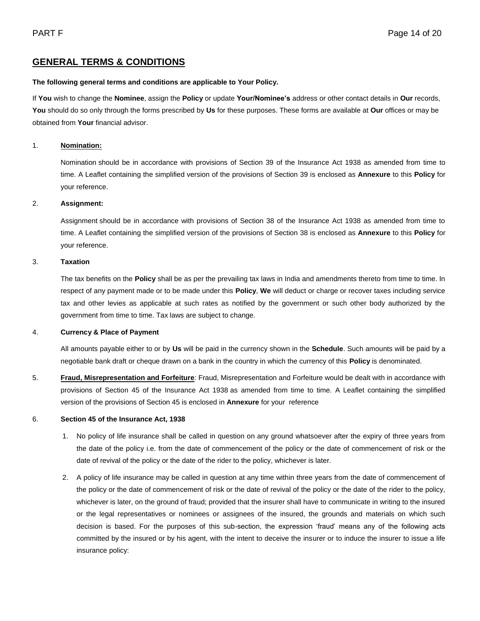# **GENERAL TERMS & CONDITIONS**

#### **The following general terms and conditions are applicable to Your Policy.**

If **You** wish to change the **Nominee**, assign the **Policy** or update **Your/Nominee's** address or other contact details in **Our** records, **You** should do so only through the forms prescribed by **Us** for these purposes. These forms are available at **Our** offices or may be obtained from **Your** financial advisor.

#### 1. **Nomination:**

Nomination should be in accordance with provisions of Section 39 of the Insurance Act 1938 as amended from time to time. A Leaflet containing the simplified version of the provisions of Section 39 is enclosed as **Annexure** to this **Policy** for your reference.

#### 2. **Assignment:**

Assignment should be in accordance with provisions of Section 38 of the Insurance Act 1938 as amended from time to time. A Leaflet containing the simplified version of the provisions of Section 38 is enclosed as **Annexure** to this **Policy** for your reference.

#### 3. **Taxation**

The tax benefits on the **Policy** shall be as per the prevailing tax laws in India and amendments thereto from time to time. In respect of any payment made or to be made under this **Policy**, **We** will deduct or charge or recover taxes including service tax and other levies as applicable at such rates as notified by the government or such other body authorized by the government from time to time. Tax laws are subject to change.

### 4. **Currency & Place of Payment**

All amounts payable either to or by **Us** will be paid in the currency shown in the **Schedule**. Such amounts will be paid by a negotiable bank draft or cheque drawn on a bank in the country in which the currency of this **Policy** is denominated.

5. **Fraud, Misrepresentation and Forfeiture**: Fraud, Misrepresentation and Forfeiture would be dealt with in accordance with provisions of Section 45 of the Insurance Act 1938 as amended from time to time. A Leaflet containing the simplified version of the provisions of Section 45 is enclosed in **Annexure** for your reference

#### 6. **Section 45 of the Insurance Act, 1938**

- 1. No policy of life insurance shall be called in question on any ground whatsoever after the expiry of three years from the date of the policy i.e. from the date of commencement of the policy or the date of commencement of risk or the date of revival of the policy or the date of the rider to the policy, whichever is later.
- 2. A policy of life insurance may be called in question at any time within three years from the date of commencement of the policy or the date of commencement of risk or the date of revival of the policy or the date of the rider to the policy, whichever is later, on the ground of fraud; provided that the insurer shall have to communicate in writing to the insured or the legal representatives or nominees or assignees of the insured, the grounds and materials on which such decision is based. For the purposes of this sub-section, the expression 'fraud' means any of the following acts committed by the insured or by his agent, with the intent to deceive the insurer or to induce the insurer to issue a life insurance policy: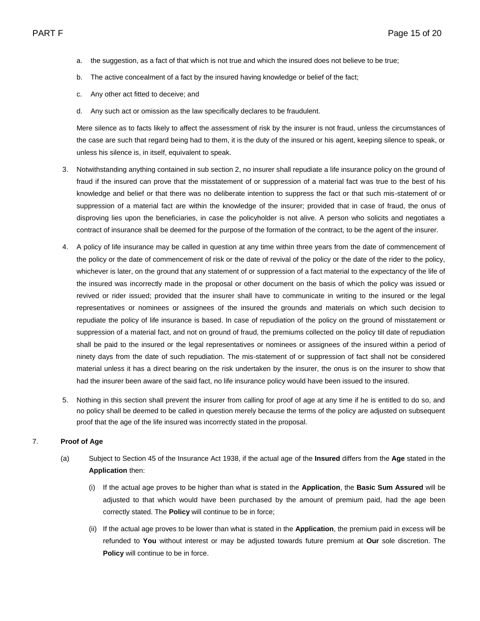- a. the suggestion, as a fact of that which is not true and which the insured does not believe to be true;
- b. The active concealment of a fact by the insured having knowledge or belief of the fact;
- c. Any other act fitted to deceive; and
- d. Any such act or omission as the law specifically declares to be fraudulent.

Mere silence as to facts likely to affect the assessment of risk by the insurer is not fraud, unless the circumstances of the case are such that regard being had to them, it is the duty of the insured or his agent, keeping silence to speak, or unless his silence is, in itself, equivalent to speak.

- 3. Notwithstanding anything contained in sub section 2, no insurer shall repudiate a life insurance policy on the ground of fraud if the insured can prove that the misstatement of or suppression of a material fact was true to the best of his knowledge and belief or that there was no deliberate intention to suppress the fact or that such mis-statement of or suppression of a material fact are within the knowledge of the insurer; provided that in case of fraud, the onus of disproving lies upon the beneficiaries, in case the policyholder is not alive. A person who solicits and negotiates a contract of insurance shall be deemed for the purpose of the formation of the contract, to be the agent of the insurer.
- 4. A policy of life insurance may be called in question at any time within three years from the date of commencement of the policy or the date of commencement of risk or the date of revival of the policy or the date of the rider to the policy, whichever is later, on the ground that any statement of or suppression of a fact material to the expectancy of the life of the insured was incorrectly made in the proposal or other document on the basis of which the policy was issued or revived or rider issued; provided that the insurer shall have to communicate in writing to the insured or the legal representatives or nominees or assignees of the insured the grounds and materials on which such decision to repudiate the policy of life insurance is based. In case of repudiation of the policy on the ground of misstatement or suppression of a material fact, and not on ground of fraud, the premiums collected on the policy till date of repudiation shall be paid to the insured or the legal representatives or nominees or assignees of the insured within a period of ninety days from the date of such repudiation. The mis-statement of or suppression of fact shall not be considered material unless it has a direct bearing on the risk undertaken by the insurer, the onus is on the insurer to show that had the insurer been aware of the said fact, no life insurance policy would have been issued to the insured.
- 5. Nothing in this section shall prevent the insurer from calling for proof of age at any time if he is entitled to do so, and no policy shall be deemed to be called in question merely because the terms of the policy are adjusted on subsequent proof that the age of the life insured was incorrectly stated in the proposal.

#### 7. **Proof of Age**

- (a) Subject to Section 45 of the Insurance Act 1938, if the actual age of the **Insured** differs from the **Age** stated in the **Application** then:
	- (i) If the actual age proves to be higher than what is stated in the **Application**, the **Basic Sum Assured** will be adjusted to that which would have been purchased by the amount of premium paid, had the age been correctly stated. The **Policy** will continue to be in force;
	- (ii) If the actual age proves to be lower than what is stated in the **Application**, the premium paid in excess will be refunded to **You** without interest or may be adjusted towards future premium at **Our** sole discretion. The **Policy** will continue to be in force.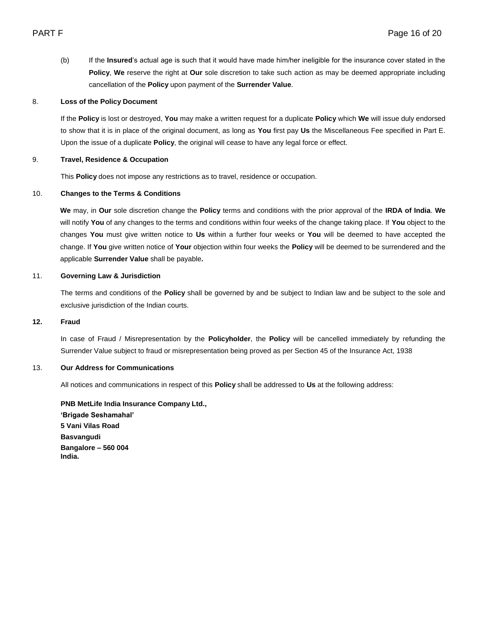(b) If the **Insured**'s actual age is such that it would have made him/her ineligible for the insurance cover stated in the **Policy**, **We** reserve the right at **Our** sole discretion to take such action as may be deemed appropriate including cancellation of the **Policy** upon payment of the **Surrender Value**.

#### 8. **Loss of the Policy Document**

If the **Policy** is lost or destroyed, **You** may make a written request for a duplicate **Policy** which **We** will issue duly endorsed to show that it is in place of the original document, as long as **You** first pay **Us** the Miscellaneous Fee specified in Part E. Upon the issue of a duplicate **Policy**, the original will cease to have any legal force or effect.

### 9. **Travel, Residence & Occupation**

This **Policy** does not impose any restrictions as to travel, residence or occupation.

#### 10. **Changes to the Terms & Conditions**

**We** may, in **Our** sole discretion change the **Policy** terms and conditions with the prior approval of the **IRDA of India**. **We** will notify **You** of any changes to the terms and conditions within four weeks of the change taking place. If **You** object to the changes **You** must give written notice to **Us** within a further four weeks or **You** will be deemed to have accepted the change. If **You** give written notice of **Your** objection within four weeks the **Policy** will be deemed to be surrendered and the applicable **Surrender Value** shall be payable**.** 

## 11. **Governing Law & Jurisdiction**

The terms and conditions of the **Policy** shall be governed by and be subject to Indian law and be subject to the sole and exclusive jurisdiction of the Indian courts.

#### **12. Fraud**

In case of Fraud / Misrepresentation by the **Policyholder**, the **Policy** will be cancelled immediately by refunding the Surrender Value subject to fraud or misrepresentation being proved as per Section 45 of the Insurance Act, 1938

#### 13. **Our Address for Communications**

All notices and communications in respect of this **Policy** shall be addressed to **Us** at the following address:

**PNB MetLife India Insurance Company Ltd., 'Brigade Seshamahal' 5 Vani Vilas Road Basvangudi Bangalore – 560 004 India.**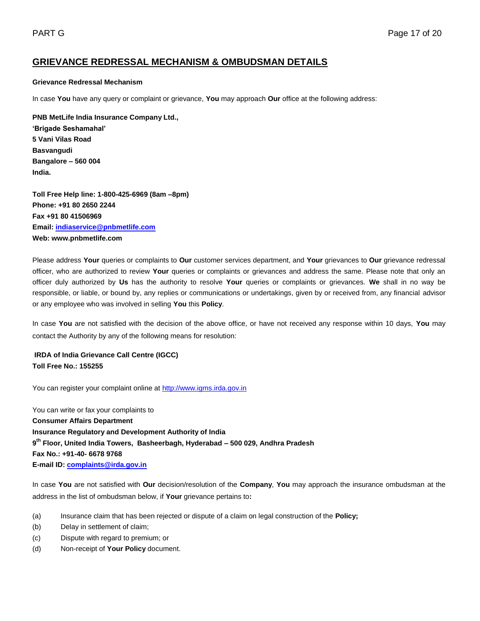# **GRIEVANCE REDRESSAL MECHANISM & OMBUDSMAN DETAILS**

#### **Grievance Redressal Mechanism**

In case **You** have any query or complaint or grievance, **You** may approach **Our** office at the following address:

**PNB MetLife India Insurance Company Ltd., 'Brigade Seshamahal' 5 Vani Vilas Road Basvangudi Bangalore – 560 004 India.** 

**Toll Free Help line: 1-800-425-6969 (8am –8pm) Phone: +91 80 2650 2244 Fax +91 80 41506969 Email: [indiaservice@pnbmetlife.com](mailto:indiaservice@pnbmetlife.com) Web: www.pnbmetlife.com** 

Please address **Your** queries or complaints to **Our** customer services department, and **Your** grievances to **Our** grievance redressal officer, who are authorized to review **Your** queries or complaints or grievances and address the same. Please note that only an officer duly authorized by **Us** has the authority to resolve **Your** queries or complaints or grievances. **We** shall in no way be responsible, or liable, or bound by, any replies or communications or undertakings, given by or received from, any financial advisor or any employee who was involved in selling **You** this **Policy**.

In case **You** are not satisfied with the decision of the above office, or have not received any response within 10 days, **You** may contact the Authority by any of the following means for resolution:

**IRDA of India Grievance Call Centre (IGCC) Toll Free No.: 155255**

You can register your complaint online at [http://www.igms.irda.gov.in](http://www.igms.irda.gov.in/)

You can write or fax your complaints to **Consumer Affairs Department Insurance Regulatory and Development Authority of India 9 th Floor, United India Towers, Basheerbagh, Hyderabad – 500 029, Andhra Pradesh Fax No.: +91-40- 6678 9768 E-mail ID[: complaints@irda.gov.in](mailto:complaints@irda.gov.in)**

In case **You** are not satisfied with **Our** decision/resolution of the **Company**, **You** may approach the insurance ombudsman at the address in the list of ombudsman below, if **Your** grievance pertains to**:**

- (a) Insurance claim that has been rejected or dispute of a claim on legal construction of the **Policy;**
- (b) Delay in settlement of claim;
- (c) Dispute with regard to premium; or
- (d) Non-receipt of **Your Policy** document.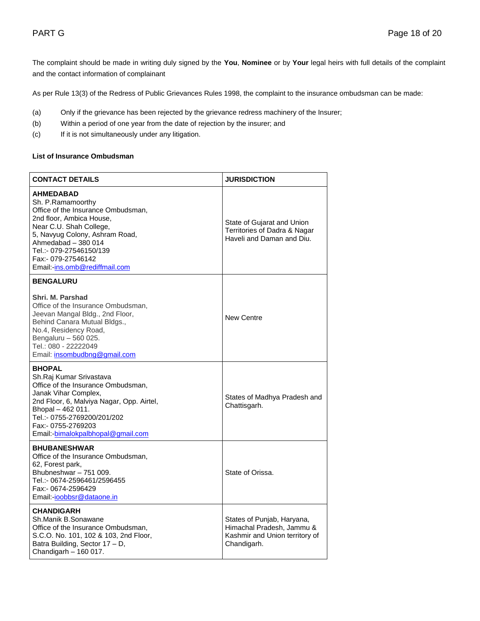The complaint should be made in writing duly signed by the **You**, **Nominee** or by **Your** legal heirs with full details of the complaint and the contact information of complainant

As per Rule 13(3) of the Redress of Public Grievances Rules 1998, the complaint to the insurance ombudsman can be made:

- (a) Only if the grievance has been rejected by the grievance redress machinery of the Insurer;
- (b) Within a period of one year from the date of rejection by the insurer; and
- (c) If it is not simultaneously under any litigation.

## **List of Insurance Ombudsman**

| <b>CONTACT DETAILS</b>                                                                                                                                                                                                                                                        | <b>JURISDICTION</b>                                                                                      |
|-------------------------------------------------------------------------------------------------------------------------------------------------------------------------------------------------------------------------------------------------------------------------------|----------------------------------------------------------------------------------------------------------|
| <b>AHMEDABAD</b><br>Sh. P.Ramamoorthy<br>Office of the Insurance Ombudsman,<br>2nd floor, Ambica House,<br>Near C.U. Shah College,<br>5, Navyug Colony, Ashram Road,<br>Ahmedabad - 380 014<br>Tel.:- 079-27546150/139<br>Fax:- 079-27546142<br>Email:-ins.omb@rediffmail.com | State of Gujarat and Union<br>Territories of Dadra & Nagar<br>Haveli and Daman and Diu.                  |
| <b>BENGALURU</b>                                                                                                                                                                                                                                                              |                                                                                                          |
| Shri, M. Parshad<br>Office of the Insurance Ombudsman,<br>Jeevan Mangal Bldg., 2nd Floor,<br>Behind Canara Mutual Bldgs.,<br>No.4, Residency Road,<br>Bengaluru - 560 025.<br>Tel.: 080 - 22222049<br>Email: insombudbng@gmail.com                                            | <b>New Centre</b>                                                                                        |
| <b>BHOPAL</b><br>Sh.Raj Kumar Srivastava<br>Office of the Insurance Ombudsman,<br>Janak Vihar Complex,<br>2nd Floor, 6, Malviya Nagar, Opp. Airtel,<br>Bhopal - 462 011.<br>Tel.:- 0755-2769200/201/202<br>Fax:- 0755-2769203<br>Email:-bimalokpalbhopal@gmail.com            | States of Madhya Pradesh and<br>Chattisgarh.                                                             |
| <b>BHUBANESHWAR</b><br>Office of the Insurance Ombudsman,<br>62, Forest park,<br>Bhubneshwar - 751 009.<br>Tel.:- 0674-2596461/2596455<br>Fax:- 0674-2596429<br>Email:-ioobbsr@dataone.in                                                                                     | State of Orissa.                                                                                         |
| <b>CHANDIGARH</b><br>Sh.Manik B.Sonawane<br>Office of the Insurance Ombudsman,<br>S.C.O. No. 101, 102 & 103, 2nd Floor,<br>Batra Building, Sector 17 - D,<br>Chandigarh - 160 017.                                                                                            | States of Punjab, Haryana,<br>Himachal Pradesh, Jammu &<br>Kashmir and Union territory of<br>Chandigarh. |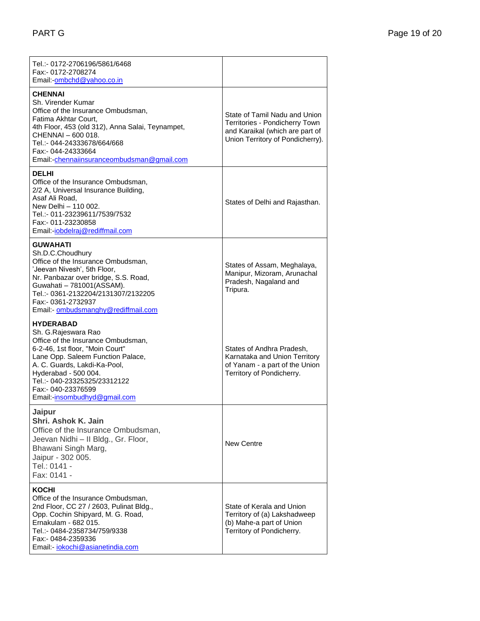| Tel.:- 0172-2706196/5861/6468<br>Fax:- 0172-2708274<br>Email:-ombchd@yahoo.co.in                                                                                                                                                                                                                    |                                                                                                                                        |
|-----------------------------------------------------------------------------------------------------------------------------------------------------------------------------------------------------------------------------------------------------------------------------------------------------|----------------------------------------------------------------------------------------------------------------------------------------|
| <b>CHENNAI</b><br>Sh. Virender Kumar<br>Office of the Insurance Ombudsman,<br>Fatima Akhtar Court,<br>4th Floor, 453 (old 312), Anna Salai, Teynampet,<br>CHENNAI - 600 018.<br>Tel.:- 044-24333678/664/668<br>Fax:- 044-24333664<br>Email:-chennaiinsuranceombudsman@gmail.com                     | State of Tamil Nadu and Union<br>Territories - Pondicherry Town<br>and Karaikal (which are part of<br>Union Territory of Pondicherry). |
| <b>DELHI</b><br>Office of the Insurance Ombudsman,<br>2/2 A, Universal Insurance Building,<br>Asaf Ali Road,<br>New Delhi - 110 002.<br>Tel.:- 011-23239611/7539/7532<br>Fax:- 011-23230858<br>Email:- <i>iobdelraj@rediffmail.com</i>                                                              | States of Delhi and Rajasthan.                                                                                                         |
| <b>GUWAHATI</b><br>Sh.D.C.Choudhury<br>Office of the Insurance Ombudsman,<br>'Jeevan Nivesh', 5th Floor,<br>Nr. Panbazar over bridge, S.S. Road,<br>Guwahati - 781001(ASSAM).<br>Tel.:- 0361-2132204/2131307/2132205<br>Fax:- 0361-2732937<br>Email:- ombudsmanghy@rediffmail.com                   | States of Assam, Meghalaya,<br>Manipur, Mizoram, Arunachal<br>Pradesh, Nagaland and<br>Tripura.                                        |
| <b>HYDERABAD</b><br>Sh. G.Rajeswara Rao<br>Office of the Insurance Ombudsman,<br>6-2-46, 1st floor, "Moin Court"<br>Lane Opp. Saleem Function Palace,<br>A. C. Guards, Lakdi-Ka-Pool,<br>Hyderabad - 500 004.<br>Tel.:- 040-23325325/23312122<br>Fax:- 040-23376599<br>Email:-insombudhyd@gmail.com | States of Andhra Pradesh,<br>Karnataka and Union Territory<br>of Yanam - a part of the Union<br>Territory of Pondicherry.              |
| Jaipur<br>Shri. Ashok K. Jain<br>Office of the Insurance Ombudsman,<br>Jeevan Nidhi - Il Bldg., Gr. Floor,<br>Bhawani Singh Marg,<br>Jaipur - 302 005.<br>Tel.: 0141 -<br>Fax: 0141 -                                                                                                               | New Centre                                                                                                                             |
| KOCHI<br>Office of the Insurance Ombudsman,<br>2nd Floor, CC 27 / 2603, Pulinat Bldg.,<br>Opp. Cochin Shipyard, M. G. Road,<br>Ernakulam - 682 015.<br>Tel.:- 0484-2358734/759/9338<br>Fax:- 0484-2359336<br>Email:- <i>iokochi@asianetindia.com</i>                                                | State of Kerala and Union<br>Territory of (a) Lakshadweep<br>(b) Mahe-a part of Union<br>Territory of Pondicherry.                     |